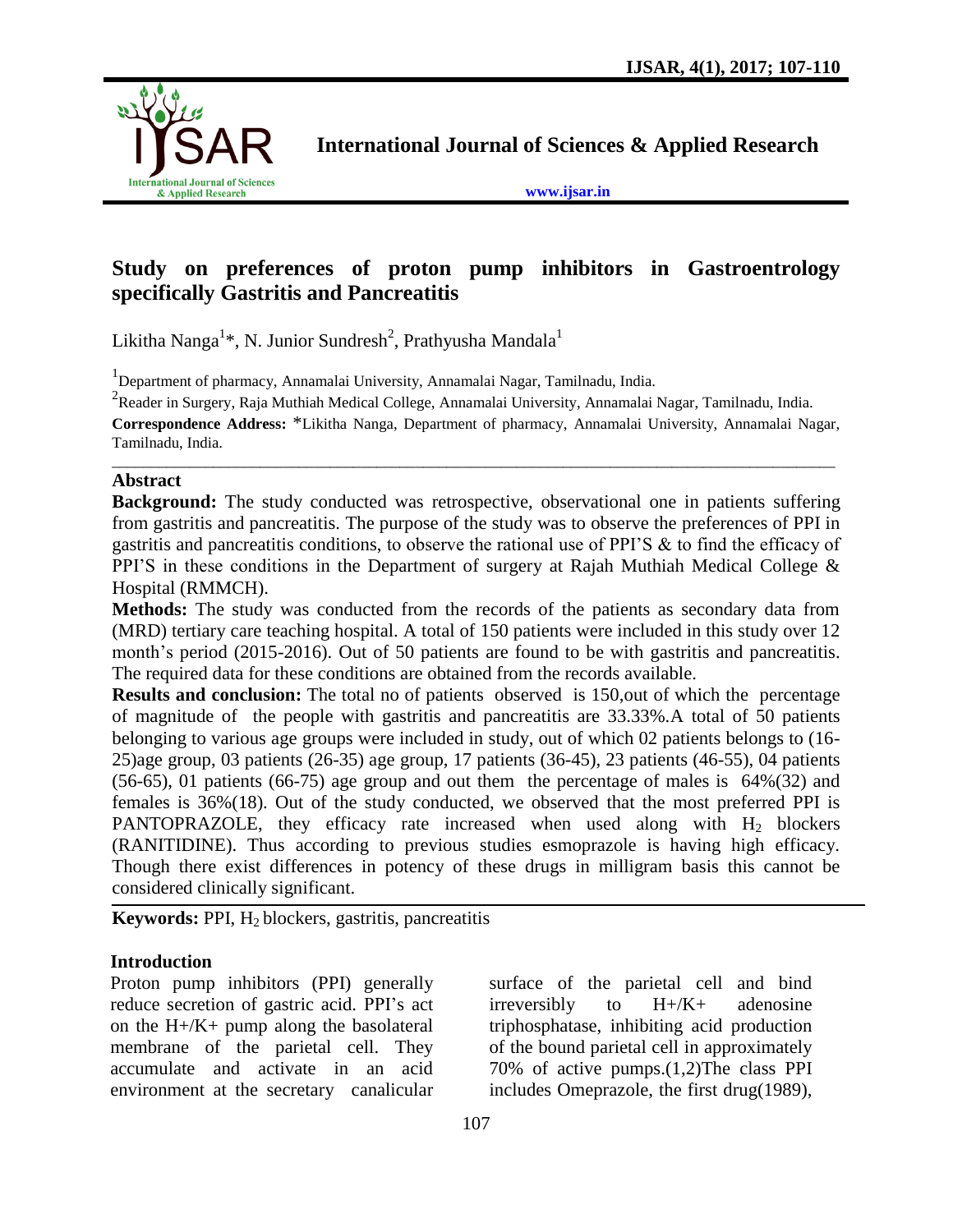

**International Journal of Sciences & Applied Research**

**[www.ijsar.in](http://www.ijsar.in/)**

# **Study on preferences of proton pump inhibitors in Gastroentrology specifically Gastritis and Pancreatitis**

Likitha Nanga<sup>1\*</sup>, N. Junior Sundresh<sup>2</sup>, Prathyusha Mandala<sup>1</sup>

<sup>1</sup>Department of pharmacy, Annamalai University, Annamalai Nagar, Tamilnadu, India.

<sup>2</sup> Reader in Surgery, Raja Muthiah Medical College, Annamalai University, Annamalai Nagar, Tamilnadu, India.

**Correspondence Address:** \*Likitha Nanga, Department of pharmacy, Annamalai University, Annamalai Nagar, Tamilnadu, India. \_\_\_\_\_\_\_\_\_\_\_\_\_\_\_\_\_\_\_\_\_\_\_\_\_\_\_\_\_\_\_\_\_\_\_\_\_\_\_\_\_\_\_\_\_\_\_\_\_\_\_\_\_\_\_\_\_\_\_\_\_\_\_\_\_\_\_\_\_\_\_\_\_\_\_\_\_\_\_\_\_\_\_\_\_\_\_\_\_\_\_\_\_

## **Abstract**

**Background:** The study conducted was retrospective, observational one in patients suffering from gastritis and pancreatitis. The purpose of the study was to observe the preferences of PPI in gastritis and pancreatitis conditions, to observe the rational use of PPI'S & to find the efficacy of PPI'S in these conditions in the Department of surgery at Rajah Muthiah Medical College & Hospital (RMMCH).

**Methods:** The study was conducted from the records of the patients as secondary data from (MRD) tertiary care teaching hospital. A total of 150 patients were included in this study over 12 month's period (2015-2016). Out of 50 patients are found to be with gastritis and pancreatitis. The required data for these conditions are obtained from the records available.

**Results and conclusion:** The total no of patients observed is 150, out of which the percentage of magnitude of the people with gastritis and pancreatitis are 33.33%.A total of 50 patients belonging to various age groups were included in study, out of which 02 patients belongs to (16- 25)age group, 03 patients (26-35) age group, 17 patients (36-45), 23 patients (46-55), 04 patients (56-65), 01 patients (66-75) age group and out them the percentage of males is 64%(32) and females is 36%(18). Out of the study conducted, we observed that the most preferred PPI is PANTOPRAZOLE, they efficacy rate increased when used along with  $H_2$  blockers (RANITIDINE). Thus according to previous studies esmoprazole is having high efficacy. Though there exist differences in potency of these drugs in milligram basis this cannot be considered clinically significant.

**Keywords:** PPI, H<sub>2</sub> blockers, gastritis, pancreatitis

# **Introduction**

Proton pump inhibitors (PPI) generally reduce secretion of gastric acid. PPI's act on the H+/K+ pump along the basolateral membrane of the parietal cell. They accumulate and activate in an acid environment at the secretary canalicular

surface of the parietal cell and bind irreversibly to H+/K+ adenosine triphosphatase, inhibiting acid production of the bound parietal cell in approximately 70% of active pumps.(1,2)The class PPI includes Omeprazole, the first drug(1989),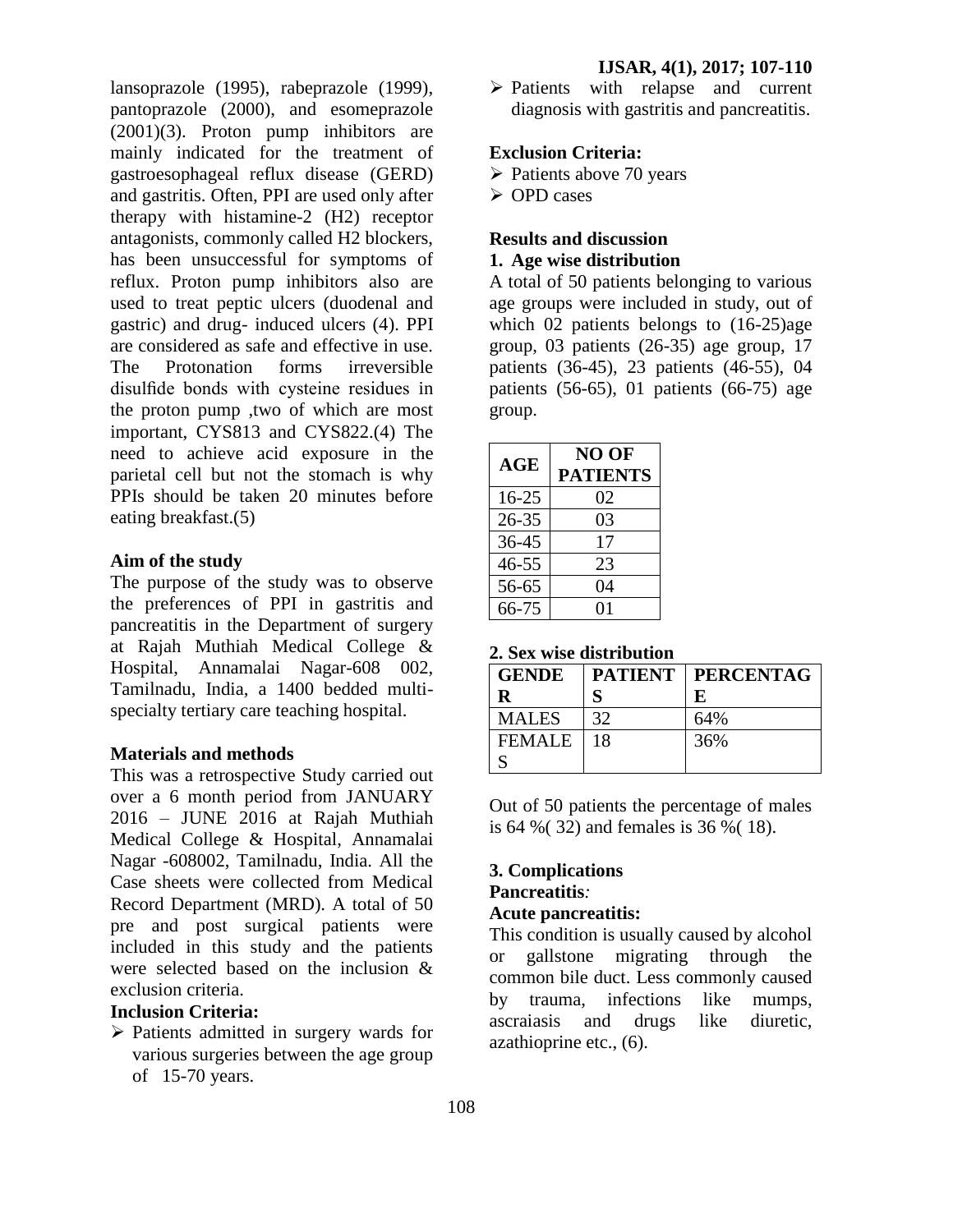lansoprazole (1995), rabeprazole (1999), pantoprazole (2000), and esomeprazole (2001)(3). Proton pump inhibitors are mainly indicated for the treatment of gastroesophageal reflux disease (GERD) and gastritis. Often, PPI are used only after therapy with histamine-2 (H2) receptor antagonists, commonly called H2 blockers, has been unsuccessful for symptoms of reflux. Proton pump inhibitors also are used to treat peptic ulcers (duodenal and gastric) and drug- induced ulcers (4). PPI are considered as safe and effective in use. The Protonation forms irreversible disulfide bonds with cysteine residues in the proton pump ,two of which are most important, CYS813 and CYS822.(4) The need to achieve acid exposure in the parietal cell but not the stomach is why PPIs should be taken 20 minutes before eating breakfast.(5)

## **Aim of the study**

The purpose of the study was to observe the preferences of PPI in gastritis and pancreatitis in the Department of surgery at Rajah Muthiah Medical College & Hospital, Annamalai Nagar-608 002, Tamilnadu, India, a 1400 bedded multispecialty tertiary care teaching hospital.

## **Materials and methods**

This was a retrospective Study carried out over a 6 month period from JANUARY 2016 – JUNE 2016 at Rajah Muthiah Medical College & Hospital, Annamalai Nagar -608002, Tamilnadu, India. All the Case sheets were collected from Medical Record Department (MRD). A total of 50 pre and post surgical patients were included in this study and the patients were selected based on the inclusion & exclusion criteria.

## **Inclusion Criteria:**

 $\triangleright$  Patients admitted in surgery wards for various surgeries between the age group of 15-70 years.

 $\triangleright$  Patients with relapse and current diagnosis with gastritis and pancreatitis.

### **Exclusion Criteria:**

- $\triangleright$  Patients above 70 years
- OPD cases

### **Results and discussion 1. Age wise distribution**

A total of 50 patients belonging to various age groups were included in study, out of which 02 patients belongs to (16-25)age group, 03 patients (26-35) age group, 17 patients (36-45), 23 patients (46-55), 04 patients  $(56-65)$ , 01 patients  $(66-75)$  age group.

| AGE       | NO OF<br><b>PATIENTS</b> |
|-----------|--------------------------|
| $16 - 25$ | 02                       |
| 26-35     | 03                       |
| 36-45     | 17                       |
| $46 - 55$ | 23                       |
| 56-65     | 04                       |
| 66-75     | 01                       |

**2. Sex wise distribution**

| <b>GENDE</b>  |    | <b>PATIENT   PERCENTAG</b> |
|---------------|----|----------------------------|
| R             | S  | E                          |
| <b>MALES</b>  | 32 | 64%                        |
| <b>FEMALE</b> | 18 | 36%                        |
|               |    |                            |

Out of 50 patients the percentage of males is 64 %( 32) and females is 36 %( 18).

# **3. Complications Pancreatitis***:*

# **Acute pancreatitis:**

This condition is usually caused by alcohol or gallstone migrating through the common bile duct. Less commonly caused by trauma, infections like mumps, ascraiasis and drugs like diuretic, azathioprine etc., (6).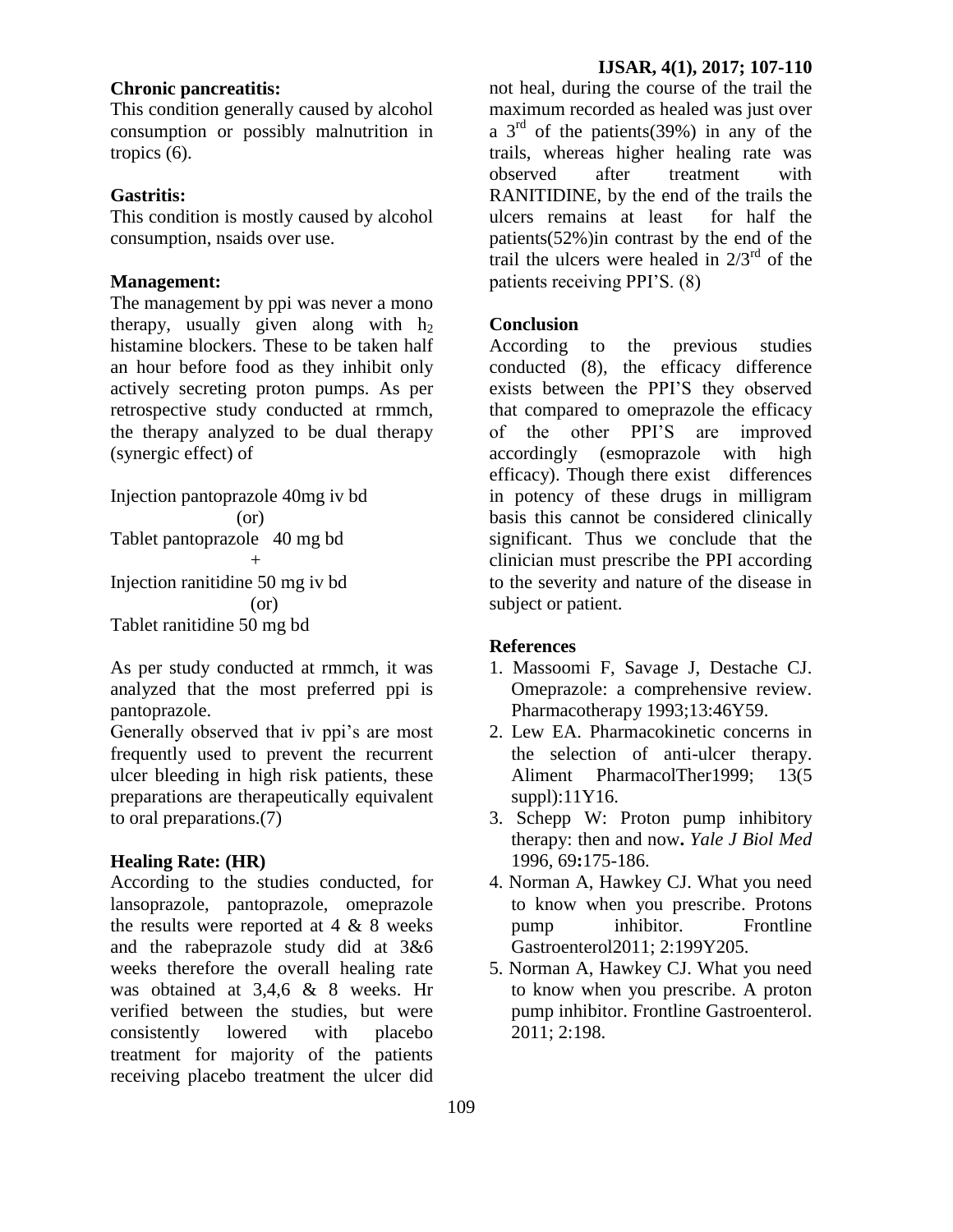## **Chronic pancreatitis:**

This condition generally caused by alcohol consumption or possibly malnutrition in tropics (6).

### **Gastritis:**

This condition is mostly caused by alcohol consumption, nsaids over use.

## **Management:**

The management by ppi was never a mono therapy, usually given along with  $h_2$ histamine blockers. These to be taken half an hour before food as they inhibit only actively secreting proton pumps. As per retrospective study conducted at rmmch, the therapy analyzed to be dual therapy (synergic effect) of

```
Injection pantoprazole 40mg iv bd
               (or)
Tablet pantoprazole 40 mg bd
+Injection ranitidine 50 mg iv bd
                 (or)
Tablet ranitidine 50 mg bd
```
As per study conducted at rmmch, it was analyzed that the most preferred ppi is pantoprazole.

Generally observed that iv ppi's are most frequently used to prevent the recurrent ulcer bleeding in high risk patients, these preparations are therapeutically equivalent to oral preparations.(7)

#### **Healing Rate: (HR)**

According to the studies conducted, for lansoprazole, pantoprazole, omeprazole the results were reported at  $4 \& 8$  weeks and the rabeprazole study did at 3&6 weeks therefore the overall healing rate was obtained at 3,4,6 & 8 weeks. Hr verified between the studies, but were consistently lowered with placebo treatment for majority of the patients receiving placebo treatment the ulcer did

not heal, during the course of the trail the maximum recorded as healed was just over a  $3<sup>rd</sup>$  of the patients(39%) in any of the trails, whereas higher healing rate was observed after treatment with RANITIDINE, by the end of the trails the ulcers remains at least for half the patients(52%)in contrast by the end of the trail the ulcers were healed in  $2/3^{rd}$  of the patients receiving PPI'S. (8)

## **Conclusion**

According to the previous studies conducted (8), the efficacy difference exists between the PPI'S they observed that compared to omeprazole the efficacy of the other PPI'S are improved accordingly (esmoprazole with high efficacy). Though there exist differences in potency of these drugs in milligram basis this cannot be considered clinically significant. Thus we conclude that the clinician must prescribe the PPI according to the severity and nature of the disease in subject or patient.

### **References**

- 1. Massoomi F, Savage J, Destache CJ. Omeprazole: a comprehensive review. Pharmacotherapy 1993;13:46Y59.
- 2. Lew EA. Pharmacokinetic concerns in the selection of anti-ulcer therapy. Aliment PharmacolTher1999; 13(5 suppl):11Y16.
- 3. Schepp W: Proton pump inhibitory therapy: then and now**.** *Yale J Biol Med*  1996, 69**:**175-186.
- 4. Norman A, Hawkey CJ. What you need to know when you prescribe. Protons pump inhibitor. Frontline Gastroenterol2011; 2:199Y205.
- 5. Norman A, Hawkey CJ. What you need to know when you prescribe. A proton pump inhibitor. Frontline Gastroenterol. 2011; 2:198.